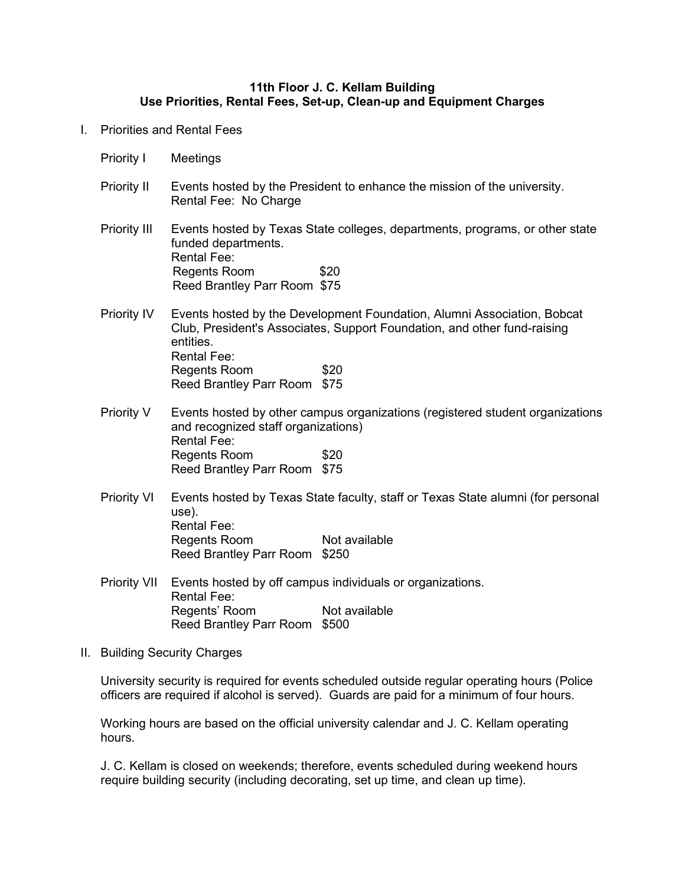## **11th Floor J. C. Kellam Building Use Priorities, Rental Fees, Set-up, Clean-up and Equipment Charges**

- I. Priorities and Rental Fees
	- Priority I Meetings
	- Priority II Events hosted by the President to enhance the mission of the university. Rental Fee: No Charge
	- Priority III Events hosted by Texas State colleges, departments, programs, or other state funded departments. Rental Fee: Regents Room \$20 Reed Brantley Parr Room \$75
	- Priority IV Events hosted by the Development Foundation, Alumni Association, Bobcat Club, President's Associates, Support Foundation, and other fund-raising entities. Rental Fee: Regents Room \$20 Reed Brantley Parr Room \$75
	- Priority V Events hosted by other campus organizations (registered student organizations and recognized staff organizations) Rental Fee: Regents Room \$20 Reed Brantley Parr Room \$75
	- Priority VI Events hosted by Texas State faculty, staff or Texas State alumni (for personal use). Rental Fee: Regents Room Not available Reed Brantley Parr Room \$250
	- Priority VII Events hosted by off campus individuals or organizations. Rental Fee: Regents' Room Not available Reed Brantley Parr Room \$500
- II. Building Security Charges

University security is required for events scheduled outside regular operating hours (Police officers are required if alcohol is served). Guards are paid for a minimum of four hours.

Working hours are based on the official university calendar and J. C. Kellam operating hours.

J. C. Kellam is closed on weekends; therefore, events scheduled during weekend hours require building security (including decorating, set up time, and clean up time).